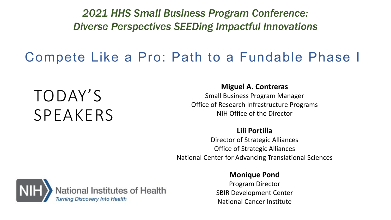*2021 HHS Small Business Program Conference: Diverse Perspectives SEEDing Impactful Innovations*

### Compete Like a Pro: Path to a Fundable Phase I

# TODAY'S SPEAKERS

#### **Miguel A. Contreras**

Small Business Program Manager Office of Research Infrastructure Programs NIH Office of the Director

#### **Lili Portilla**

Director of Strategic Alliances Office of Strategic Alliances National Center for Advancing Translational Sciences



#### **Monique Pond**

Program Director SBIR Development Center National Cancer Institute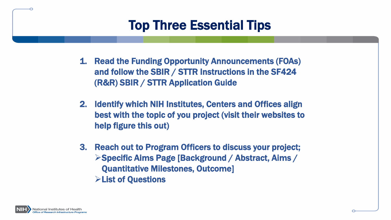### Top Three Essential Tips

- 1. Read the Funding Opportunity Announcements (FOAs) and follow the SBIR / STTR Instructions in the SF424 (R&R) SBIR / STTR Application Guide
- 2. Identify which NIH Institutes, Centers and Offices align best with the topic of you project (visit their websites to help figure this out)
- 3. Reach out to Program Officers to discuss your project; Specific Aims Page [Background / Abstract, Aims / Quantitative Milestones, Outcome] List of Questions

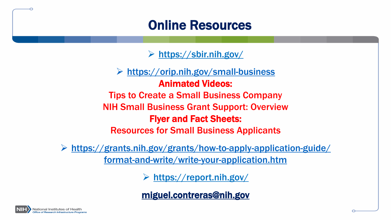### Online Resources

<https://sbir.nih.gov/>

 <https://orip.nih.gov/small-business> Animated Videos: Tips to Create a Small Business Company NIH Small Business Grant Support: Overview Flyer and Fact Sheets: Resources for Small Business Applicants

 https://grants.nih.gov/grants/how-to-apply-application-guide/ format-and-write/write-your-application.htm

<https://report.nih.gov/>

[miguel.contreras@nih.gov](mailto:miguel.contreras@nih.gov)

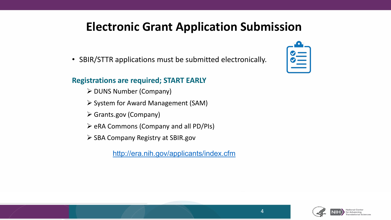#### **Electronic Grant Application Submission**

• SBIR/STTR applications must be submitted electronically.

#### **Registrations are required; START EARLY**

- $\triangleright$  DUNS Number (Company)
- $\triangleright$  System for Award Management (SAM)
- Grants.gov (Company)
- $\triangleright$  eRA Commons (Company and all PD/PIs)
- $\triangleright$  SBA Company Registry at SBIR.gov
	- <http://era.nih.gov/applicants/index.cfm>





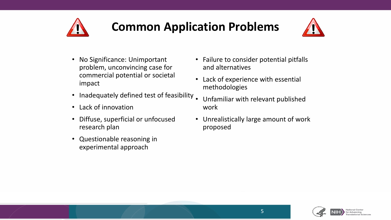

### **Common Application Problems**



- No Significance: Unimportant problem, unconvincing case for commercial potential or societal impact
- Inadequately defined test of feasibility.
- Lack of innovation
- Diffuse, superficial or unfocused research plan
- Questionable reasoning in experimental approach
- Failure to consider potential pitfalls and alternatives
- Lack of experience with essential methodologies
- Unfamiliar with relevant published work
- Unrealistically large amount of work proposed